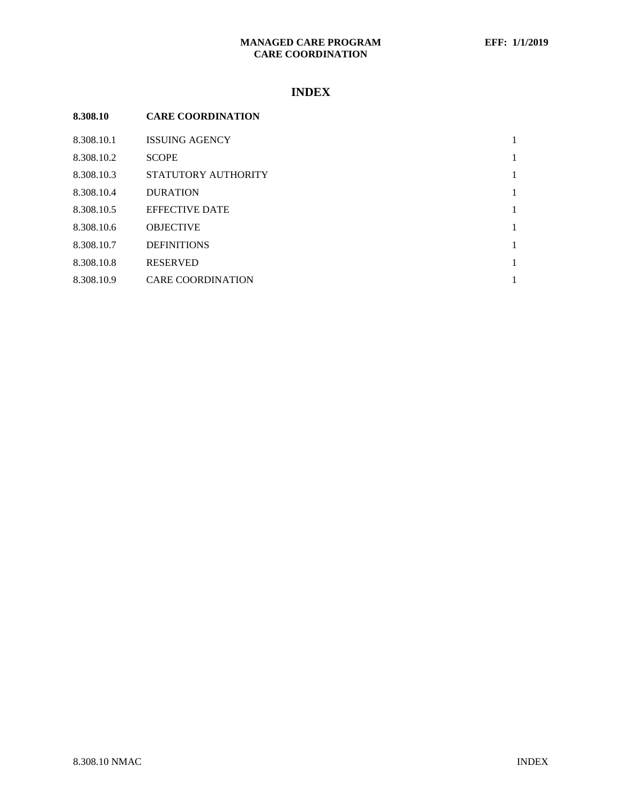# **MANAGED CARE PROGRAM EFF: 1/1/2019 CARE COORDINATION**

# **INDEX**

| 8.308.10   | <b>CARE COORDINATION</b> |              |
|------------|--------------------------|--------------|
| 8.308.10.1 | <b>ISSUING AGENCY</b>    | 1            |
| 8.308.10.2 | <b>SCOPE</b>             | $\mathbf{1}$ |
| 8.308.10.3 | STATUTORY AUTHORITY      | $\mathbf{1}$ |
| 8.308.10.4 | <b>DURATION</b>          | $\mathbf{1}$ |
| 8.308.10.5 | <b>EFFECTIVE DATE</b>    | $\mathbf{1}$ |
| 8.308.10.6 | <b>OBJECTIVE</b>         | $\mathbf{1}$ |
| 8.308.10.7 | <b>DEFINITIONS</b>       | $\mathbf{1}$ |
| 8.308.10.8 | <b>RESERVED</b>          | $\mathbf{1}$ |
| 8.308.10.9 | <b>CARE COORDINATION</b> | 1            |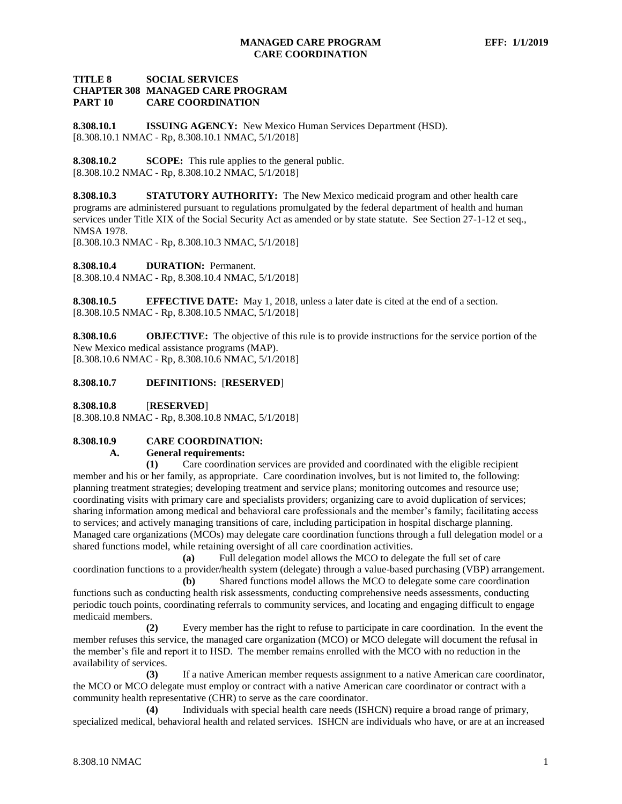### **TITLE 8 SOCIAL SERVICES CHAPTER 308 MANAGED CARE PROGRAM PART 10 CARE COORDINATION**

<span id="page-1-0"></span>**8.308.10.1 ISSUING AGENCY:** New Mexico Human Services Department (HSD). [8.308.10.1 NMAC - Rp, 8.308.10.1 NMAC, 5/1/2018]

<span id="page-1-1"></span>**8.308.10.2 SCOPE:** This rule applies to the general public. [8.308.10.2 NMAC - Rp, 8.308.10.2 NMAC, 5/1/2018]

<span id="page-1-2"></span>**8.308.10.3 STATUTORY AUTHORITY:** The New Mexico medicaid program and other health care programs are administered pursuant to regulations promulgated by the federal department of health and human services under Title XIX of the Social Security Act as amended or by state statute. See Section 27-1-12 et seq., NMSA 1978.

[8.308.10.3 NMAC - Rp, 8.308.10.3 NMAC, 5/1/2018]

<span id="page-1-3"></span>**8.308.10.4 DURATION:** Permanent. [8.308.10.4 NMAC - Rp, 8.308.10.4 NMAC, 5/1/2018]

<span id="page-1-4"></span>**8.308.10.5 EFFECTIVE DATE:** May 1, 2018, unless a later date is cited at the end of a section. [8.308.10.5 NMAC - Rp, 8.308.10.5 NMAC, 5/1/2018]

<span id="page-1-5"></span>**8.308.10.6 OBJECTIVE:** The objective of this rule is to provide instructions for the service portion of the New Mexico medical assistance programs (MAP). [8.308.10.6 NMAC - Rp, 8.308.10.6 NMAC, 5/1/2018]

#### <span id="page-1-6"></span>**8.308.10.7 DEFINITIONS:** [**RESERVED**]

<span id="page-1-7"></span>**8.308.10.8** [**RESERVED**]

[8.308.10.8 NMAC - Rp, 8.308.10.8 NMAC, 5/1/2018]

# <span id="page-1-8"></span>**8.308.10.9 CARE COORDINATION:**

#### **A. General requirements:**

**(1)** Care coordination services are provided and coordinated with the eligible recipient member and his or her family, as appropriate. Care coordination involves, but is not limited to, the following: planning treatment strategies; developing treatment and service plans; monitoring outcomes and resource use; coordinating visits with primary care and specialists providers; organizing care to avoid duplication of services; sharing information among medical and behavioral care professionals and the member's family; facilitating access to services; and actively managing transitions of care, including participation in hospital discharge planning. Managed care organizations (MCOs) may delegate care coordination functions through a full delegation model or a shared functions model, while retaining oversight of all care coordination activities.

**(a)** Full delegation model allows the MCO to delegate the full set of care coordination functions to a provider/health system (delegate) through a value-based purchasing (VBP) arrangement.

**(b)** Shared functions model allows the MCO to delegate some care coordination functions such as conducting health risk assessments, conducting comprehensive needs assessments, conducting periodic touch points, coordinating referrals to community services, and locating and engaging difficult to engage medicaid members.

**(2)** Every member has the right to refuse to participate in care coordination. In the event the member refuses this service, the managed care organization (MCO) or MCO delegate will document the refusal in the member's file and report it to HSD. The member remains enrolled with the MCO with no reduction in the availability of services.

**(3)** If a native American member requests assignment to a native American care coordinator, the MCO or MCO delegate must employ or contract with a native American care coordinator or contract with a community health representative (CHR) to serve as the care coordinator.

**(4)** Individuals with special health care needs (ISHCN) require a broad range of primary, specialized medical, behavioral health and related services. ISHCN are individuals who have, or are at an increased